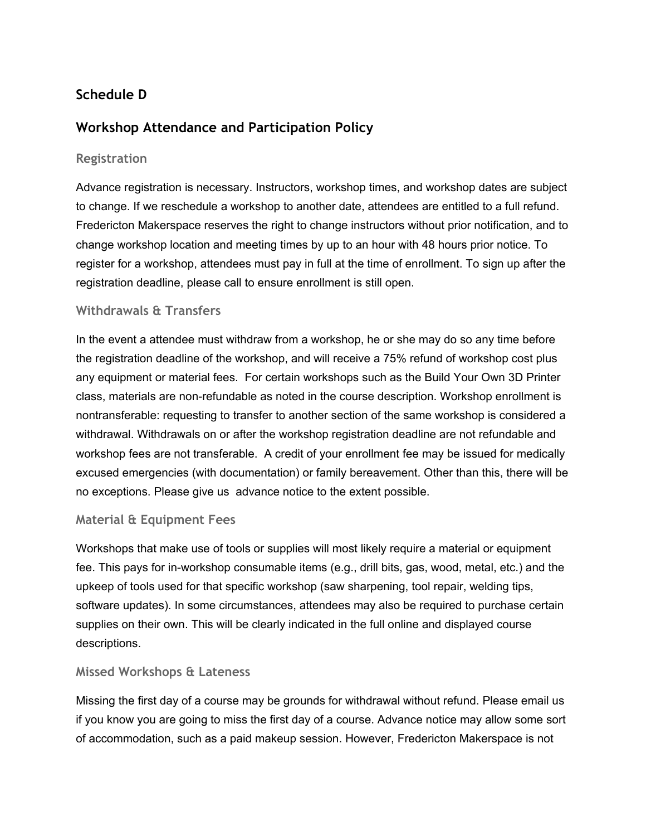# **Schedule D**

## **Workshop Attendance and Participation Policy**

## **Registration**

Advance registration is necessary. Instructors, workshop times, and workshop dates are subject to change. If we reschedule a workshop to another date, attendees are entitled to a full refund. Fredericton Makerspace reserves the right to change instructors without prior notification, and to change workshop location and meeting times by up to an hour with 48 hours prior notice. To register for a workshop, attendees must pay in full at the time of enrollment. To sign up after the registration deadline, please call to ensure enrollment is still open.

## **Withdrawals & Transfers**

In the event a attendee must withdraw from a workshop, he or she may do so any time before the registration deadline of the workshop, and will receive a 75% refund of workshop cost plus any equipment or material fees. For certain workshops such as the Build Your Own 3D Printer class, materials are non-refundable as noted in the course description. Workshop enrollment is nontransferable: requesting to transfer to another section of the same workshop is considered a withdrawal. Withdrawals on or after the workshop registration deadline are not refundable and workshop fees are not transferable. A credit of your enrollment fee may be issued for medically excused emergencies (with documentation) or family bereavement. Other than this, there will be no exceptions. Please give us advance notice to the extent possible.

#### **Material & Equipment Fees**

Workshops that make use of tools or supplies will most likely require a material or equipment fee. This pays for in-workshop consumable items (e.g., drill bits, gas, wood, metal, etc.) and the upkeep of tools used for that specific workshop (saw sharpening, tool repair, welding tips, software updates). In some circumstances, attendees may also be required to purchase certain supplies on their own. This will be clearly indicated in the full online and displayed course descriptions.

#### **Missed Workshops & Lateness**

Missing the first day of a course may be grounds for withdrawal without refund. Please email us if you know you are going to miss the first day of a course. Advance notice may allow some sort of accommodation, such as a paid makeup session. However, Fredericton Makerspace is not